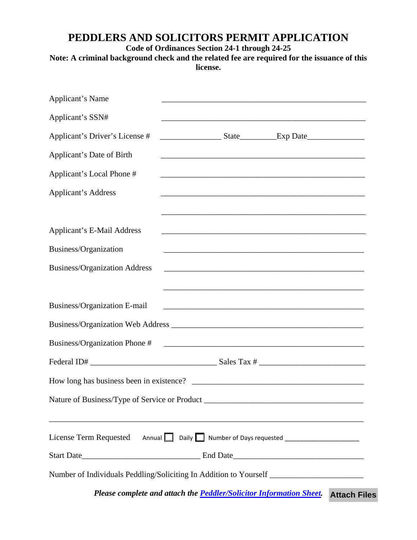## **PEDDLERS AND SOLICITORS PERMIT APPLICATION**

**Code of Ordinances Section 24-1 through 24-25** 

## **Note: A criminal background check and the related fee are required for the issuance of this license.**

| Applicant's Name                                                                                                                                                                                                                                                                                                                                                                                         |  | <u> 1989 - Johann Barn, amerikan berkeman dan berkeman berkeman dan berkeman dan berkeman dan berkeman dan berkema</u> |                     |
|----------------------------------------------------------------------------------------------------------------------------------------------------------------------------------------------------------------------------------------------------------------------------------------------------------------------------------------------------------------------------------------------------------|--|------------------------------------------------------------------------------------------------------------------------|---------------------|
| Applicant's SSN#                                                                                                                                                                                                                                                                                                                                                                                         |  |                                                                                                                        |                     |
| Applicant's Driver's License #                                                                                                                                                                                                                                                                                                                                                                           |  |                                                                                                                        |                     |
| Applicant's Date of Birth                                                                                                                                                                                                                                                                                                                                                                                |  |                                                                                                                        |                     |
| Applicant's Local Phone #                                                                                                                                                                                                                                                                                                                                                                                |  |                                                                                                                        |                     |
| <b>Applicant's Address</b>                                                                                                                                                                                                                                                                                                                                                                               |  |                                                                                                                        |                     |
|                                                                                                                                                                                                                                                                                                                                                                                                          |  |                                                                                                                        |                     |
| <b>Applicant's E-Mail Address</b>                                                                                                                                                                                                                                                                                                                                                                        |  |                                                                                                                        |                     |
| Business/Organization                                                                                                                                                                                                                                                                                                                                                                                    |  |                                                                                                                        |                     |
| <b>Business/Organization Address</b>                                                                                                                                                                                                                                                                                                                                                                     |  |                                                                                                                        |                     |
| Business/Organization E-mail                                                                                                                                                                                                                                                                                                                                                                             |  | <u> 1980 - Johann John Stone, mars and de film and de film and de film and de film and de film and de film and de</u>  |                     |
| Business/Organization Phone #                                                                                                                                                                                                                                                                                                                                                                            |  | <u> 1988 - Johann Stoff, deutscher Stoffen und der Stoffen und der Stoffen und der Stoffen und der Stoffen und der</u> |                     |
| Federal ID# $\frac{1}{\sqrt{1-\frac{1}{2}}\sqrt{1-\frac{1}{2}}\sqrt{1-\frac{1}{2}}\sqrt{1-\frac{1}{2}}\sqrt{1-\frac{1}{2}}\sqrt{1-\frac{1}{2}}\sqrt{1-\frac{1}{2}}\sqrt{1-\frac{1}{2}}\sqrt{1-\frac{1}{2}}\sqrt{1-\frac{1}{2}}\sqrt{1-\frac{1}{2}}\sqrt{1-\frac{1}{2}}\sqrt{1-\frac{1}{2}}\sqrt{1-\frac{1}{2}}\sqrt{1-\frac{1}{2}}\sqrt{1-\frac{1}{2}}\sqrt{1-\frac{1}{2}}\sqrt{1-\frac{1}{2}}\sqrt{1-\$ |  |                                                                                                                        |                     |
| How long has business been in existence?                                                                                                                                                                                                                                                                                                                                                                 |  |                                                                                                                        |                     |
| Nature of Business/Type of Service or Product ___________________________________                                                                                                                                                                                                                                                                                                                        |  |                                                                                                                        |                     |
| License Term Requested Annual Daily Number of Days requested ___________________                                                                                                                                                                                                                                                                                                                         |  |                                                                                                                        |                     |
|                                                                                                                                                                                                                                                                                                                                                                                                          |  |                                                                                                                        |                     |
| Number of Individuals Peddling/Soliciting In Addition to Yourself __________________________________                                                                                                                                                                                                                                                                                                     |  |                                                                                                                        |                     |
| Please complete and attach the <b>Peddler/Solicitor Information Sheet</b> .                                                                                                                                                                                                                                                                                                                              |  |                                                                                                                        | <b>Attach Files</b> |